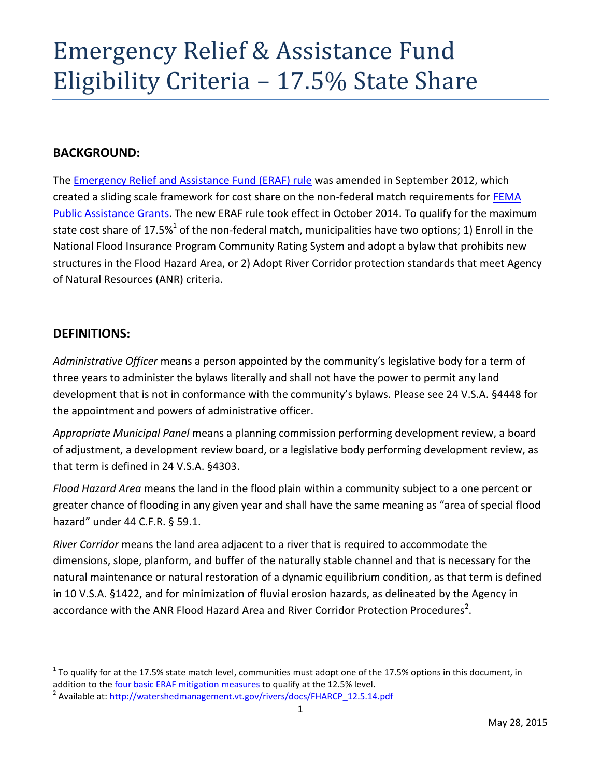# Emergency Relief & Assistance Fund Eligibility Criteria – 17.5% State Share

### **BACKGROUND:**

The [Emergency Relief and Assistance Fund \(ERAF\) rule](http://floodready.vermont.gov/find_funding/emergency_relief_assistance) was amended in September 2012, which created a sliding scale framework for cost share on the non-federal match requirements for [FEMA](http://vem.vermont.gov/publicassistance)  [Public Assistance Grants.](http://vem.vermont.gov/publicassistance) The new ERAF rule took effect in October 2014. To qualify for the maximum state cost share of 17.5%<sup>1</sup> of the non-federal match, municipalities have two options; 1) Enroll in the National Flood Insurance Program Community Rating System and adopt a bylaw that prohibits new structures in the Flood Hazard Area, or 2) Adopt River Corridor protection standards that meet Agency of Natural Resources (ANR) criteria.

#### **DEFINITIONS:**

 $\overline{\phantom{a}}$ 

*Administrative Officer* means a person appointed by the community's legislative body for a term of three years to administer the bylaws literally and shall not have the power to permit any land development that is not in conformance with the community's bylaws. Please see 24 V.S.A. §4448 for the appointment and powers of administrative officer.

*Appropriate Municipal Panel* means a planning commission performing development review, a board of adjustment, a development review board, or a legislative body performing development review, as that term is defined in 24 V.S.A. §4303.

*Flood Hazard Area* means the land in the flood plain within a community subject to a one percent or greater chance of flooding in any given year and shall have the same meaning as "area of special flood hazard" under 44 C.F.R. § 59.1.

*River Corridor* means the land area adjacent to a river that is required to accommodate the dimensions, slope, planform, and buffer of the naturally stable channel and that is necessary for the natural maintenance or natural restoration of a dynamic equilibrium condition, as that term is defined in 10 V.S.A. §1422, and for minimization of fluvial erosion hazards, as delineated by the Agency in accordance with the ANR Flood Hazard Area and River Corridor Protection Procedures<sup>2</sup>.

 $^1$  To qualify for at the 17.5% state match level, communities must adopt one of the 17.5% options in this document, in addition to th[e four basic ERAF mitigation measures](http://floodready.vermont.gov/find_funding/emergency_relief_assistance) to qualify at the 12.5% level.

<sup>&</sup>lt;sup>2</sup> Available at: [http://watershedmanagement.vt.gov/rivers/docs/FHARCP\\_12.5.14.pdf](http://watershedmanagement.vt.gov/rivers/docs/FHARCP_12.5.14.pdf)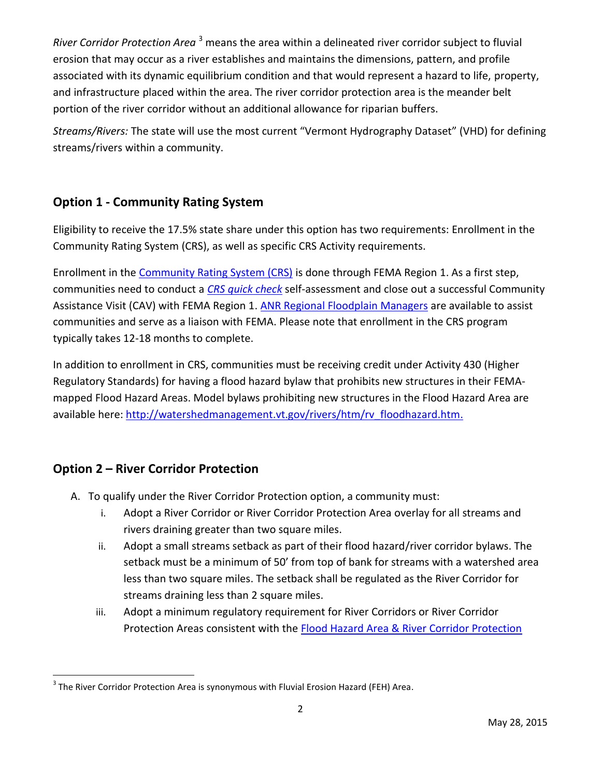*River Corridor Protection Area* <sup>3</sup> means the area within a delineated river corridor subject to fluvial erosion that may occur as a river establishes and maintains the dimensions, pattern, and profile associated with its dynamic equilibrium condition and that would represent a hazard to life, property, and infrastructure placed within the area. The river corridor protection area is the meander belt portion of the river corridor without an additional allowance for riparian buffers.

*Streams/Rivers:* The state will use the most current "Vermont Hydrography Dataset" (VHD) for defining streams/rivers within a community.

# **Option 1 - Community Rating System**

Eligibility to receive the 17.5% state share under this option has two requirements: Enrollment in the Community Rating System (CRS), as well as specific CRS Activity requirements.

Enrollment in the [Community Rating System \(CRS\)](http://www.fema.gov/media-library-data/1395661546460-d6859e8d080fba06b34a6f1a4d0abdba/NFIP_CRS_March%202014%20508.pdf) is done through FEMA Region 1. As a first step, communities need to conduct a *[CRS quick check](http://crsresources.org/quick-check/)* self-assessment and close out a successful Community Assistance Visit (CAV) with FEMA Region 1. ANR [Regional Floodplain Managers](http://watershedmanagement.vt.gov/rivers/docs/rv_floodplain_regions.pdf) are available to assist communities and serve as a liaison with FEMA. Please note that enrollment in the CRS program typically takes 12-18 months to complete.

In addition to enrollment in CRS, communities must be receiving credit under Activity 430 (Higher Regulatory Standards) for having a flood hazard bylaw that prohibits new structures in their FEMAmapped Flood Hazard Areas. Model bylaws prohibiting new structures in the Flood Hazard Area are available here: [http://watershedmanagement.vt.gov/rivers/htm/rv\\_floodhazard.htm.](http://watershedmanagement.vt.gov/rivers/htm/rv_floodhazard.htm)

## **Option 2 – River Corridor Protection**

- A. To qualify under the River Corridor Protection option, a community must:
	- i. Adopt a River Corridor or River Corridor Protection Area overlay for all streams and rivers draining greater than two square miles.
	- ii. Adopt a small streams setback as part of their flood hazard/river corridor bylaws. The setback must be a minimum of 50' from top of bank for streams with a watershed area less than two square miles. The setback shall be regulated as the River Corridor for streams draining less than 2 square miles.
	- iii. Adopt a minimum regulatory requirement for River Corridors or River Corridor Protection Areas consistent with the [Flood Hazard Area & River Corridor Protection](http://watershedmanagement.vt.gov/rivers/docs/FHARCP_12.5.14.pdf)

 3 The River Corridor Protection Area is synonymous with Fluvial Erosion Hazard (FEH) Area.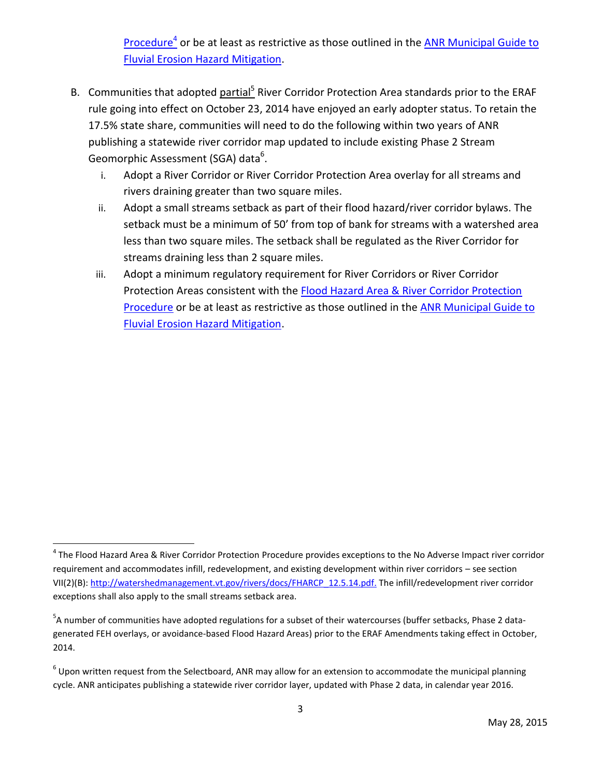[Procedure](http://watershedmanagement.vt.gov/rivers/docs/FHARCP_12.5.14.pdf)<sup>4</sup> or be at least as restrictive as those outlined in the ANR Municipal Guide to Fluvial Erosion [Hazard Mitigation.](http://watershedmanagement.vt.gov/rivers/docs/rv_municipalguide.pdf)

- B. Communities that adopted **partial<sup>5</sup> River Corridor Protection Area standards prior to the ERAF** rule going into effect on October 23, 2014 have enjoyed an early adopter status. To retain the 17.5% state share, communities will need to do the following within two years of ANR publishing a statewide river corridor map updated to include existing Phase 2 Stream Geomorphic Assessment (SGA) data<sup>6</sup>.
	- i. Adopt a River Corridor or River Corridor Protection Area overlay for all streams and rivers draining greater than two square miles.
	- ii. Adopt a small streams setback as part of their flood hazard/river corridor bylaws. The setback must be a minimum of 50' from top of bank for streams with a watershed area less than two square miles. The setback shall be regulated as the River Corridor for streams draining less than 2 square miles.
	- iii. Adopt a minimum regulatory requirement for River Corridors or River Corridor Protection Areas consistent with the [Flood Hazard Area & River Corridor Protection](http://watershedmanagement.vt.gov/rivers/docs/FHARCP_12.5.14.pdf)  [Procedure](http://watershedmanagement.vt.gov/rivers/docs/FHARCP_12.5.14.pdf) or be at least as restrictive as those outlined in the **ANR Municipal Guide to** [Fluvial Erosion Hazard Mitigation.](http://watershedmanagement.vt.gov/rivers/docs/rv_municipalguide.pdf)

l

<sup>&</sup>lt;sup>4</sup> The Flood Hazard Area & River Corridor Protection Procedure provides exceptions to the No Adverse Impact river corridor requirement and accommodates infill, redevelopment, and existing development within river corridors – see section VII(2)(B): [http://watershedmanagement.vt.gov/rivers/docs/FHARCP\\_12.5.14.pdf.](http://watershedmanagement.vt.gov/rivers/docs/FHARCP_12.5.14.pdf) The infill/redevelopment river corridor exceptions shall also apply to the small streams setback area.

<sup>&</sup>lt;sup>5</sup>A number of communities have adopted regulations for a subset of their watercourses (buffer setbacks, Phase 2 datagenerated FEH overlays, or avoidance-based Flood Hazard Areas) prior to the ERAF Amendments taking effect in October, 2014.

 $^6$  Upon written request from the Selectboard, ANR may allow for an extension to accommodate the municipal planning cycle. ANR anticipates publishing a statewide river corridor layer, updated with Phase 2 data, in calendar year 2016.